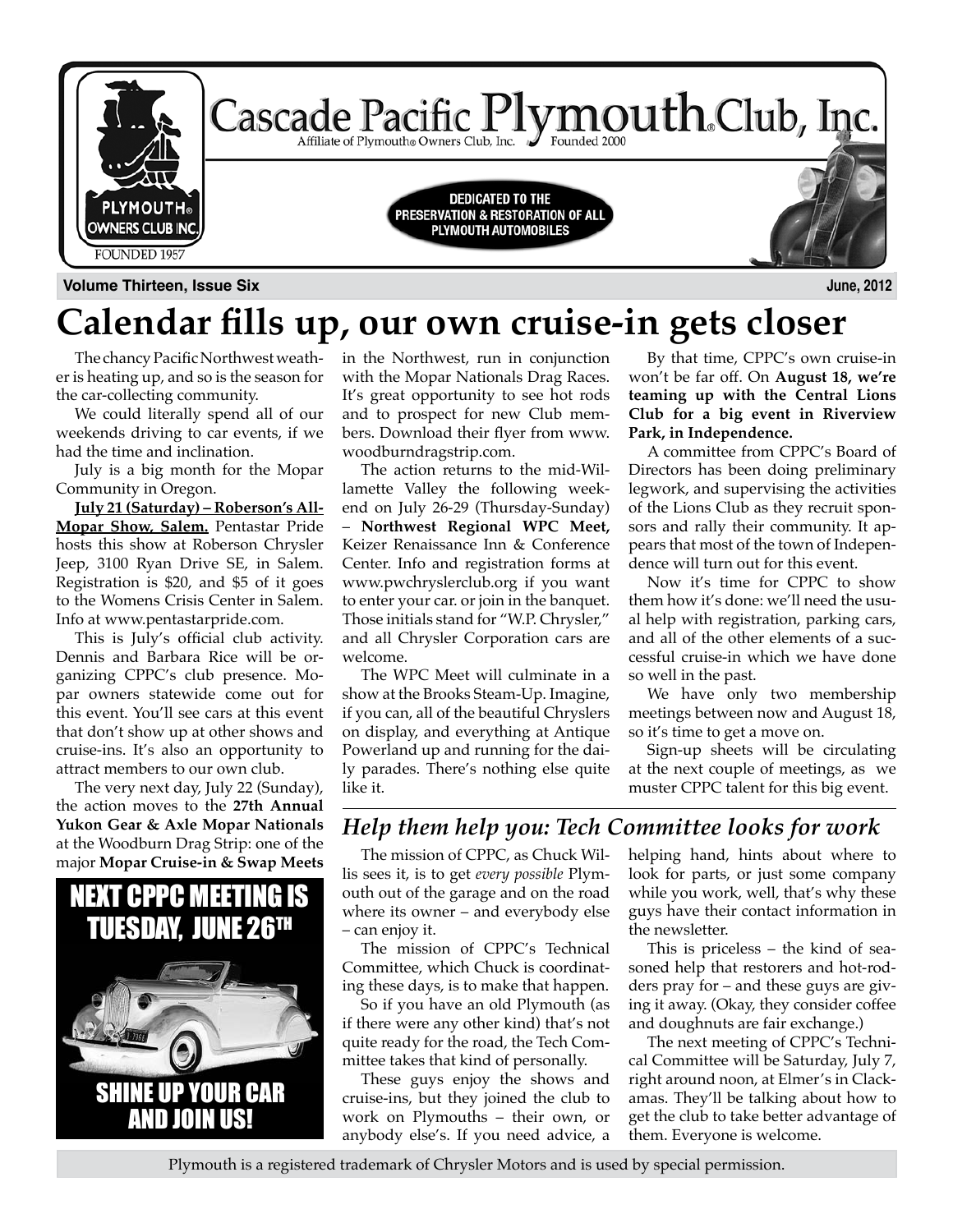

## **Calendar fills up, our own cruise-in gets closer**

The chancy Pacific Northwest weather is heating up, and so is the season for the car-collecting community.

We could literally spend all of our weekends driving to car events, if we had the time and inclination.

July is a big month for the Mopar Community in Oregon.

**July 21 (Saturday) – Roberson's All-Mopar Show, Salem.** Pentastar Pride hosts this show at Roberson Chrysler Jeep, 3100 Ryan Drive SE, in Salem. Registration is \$20, and \$5 of it goes to the Womens Crisis Center in Salem. Info at www.pentastarpride.com.

This is July's official club activity. Dennis and Barbara Rice will be organizing CPPC's club presence. Mopar owners statewide come out for this event. You'll see cars at this event that don't show up at other shows and cruise-ins. It's also an opportunity to attract members to our own club.

The very next day, July 22 (Sunday), the action moves to the **27th Annual Yukon Gear & Axle Mopar Nationals** at the Woodburn Drag Strip: one of the major **Mopar Cruise-in & Swap Meets** 



in the Northwest, run in conjunction with the Mopar Nationals Drag Races. It's great opportunity to see hot rods and to prospect for new Club members. Download their flyer from www. woodburndragstrip.com.

The action returns to the mid-Willamette Valley the following weekend on July 26-29 (Thursday-Sunday) – **Northwest Regional WPC Meet,** Keizer Renaissance Inn & Conference Center. Info and registration forms at www.pwchryslerclub.org if you want to enter your car. or join in the banquet. Those initials stand for "W.P. Chrysler," and all Chrysler Corporation cars are welcome.

The WPC Meet will culminate in a show at the Brooks Steam-Up. Imagine, if you can, all of the beautiful Chryslers on display, and everything at Antique Powerland up and running for the daily parades. There's nothing else quite like it.

By that time, CPPC's own cruise-in won't be far off. On **August 18, we're teaming up with the Central Lions Club for a big event in Riverview Park, in Independence.** 

A committee from CPPC's Board of Directors has been doing preliminary legwork, and supervising the activities of the Lions Club as they recruit sponsors and rally their community. It appears that most of the town of Independence will turn out for this event.

Now it's time for CPPC to show them how it's done: we'll need the usual help with registration, parking cars, and all of the other elements of a successful cruise-in which we have done so well in the past.

We have only two membership meetings between now and August 18, so it's time to get a move on.

Sign-up sheets will be circulating at the next couple of meetings, as we muster CPPC talent for this big event.

### *Help them help you: Tech Committee looks for work*

The mission of CPPC, as Chuck Willis sees it, is to get *every possible* Plymouth out of the garage and on the road where its owner – and everybody else – can enjoy it.

The mission of CPPC's Technical Committee, which Chuck is coordinating these days, is to make that happen.

So if you have an old Plymouth (as if there were any other kind) that's not quite ready for the road, the Tech Committee takes that kind of personally.

These guys enjoy the shows and cruise-ins, but they joined the club to work on Plymouths – their own, or anybody else's. If you need advice, a

helping hand, hints about where to look for parts, or just some company while you work, well, that's why these guys have their contact information in the newsletter.

This is priceless – the kind of seasoned help that restorers and hot-rodders pray for – and these guys are giving it away. (Okay, they consider coffee and doughnuts are fair exchange.)

The next meeting of CPPC's Technical Committee will be Saturday, July 7, right around noon, at Elmer's in Clackamas. They'll be talking about how to get the club to take better advantage of them. Everyone is welcome.

Plymouth is a registered trademark of Chrysler Motors and is used by special permission.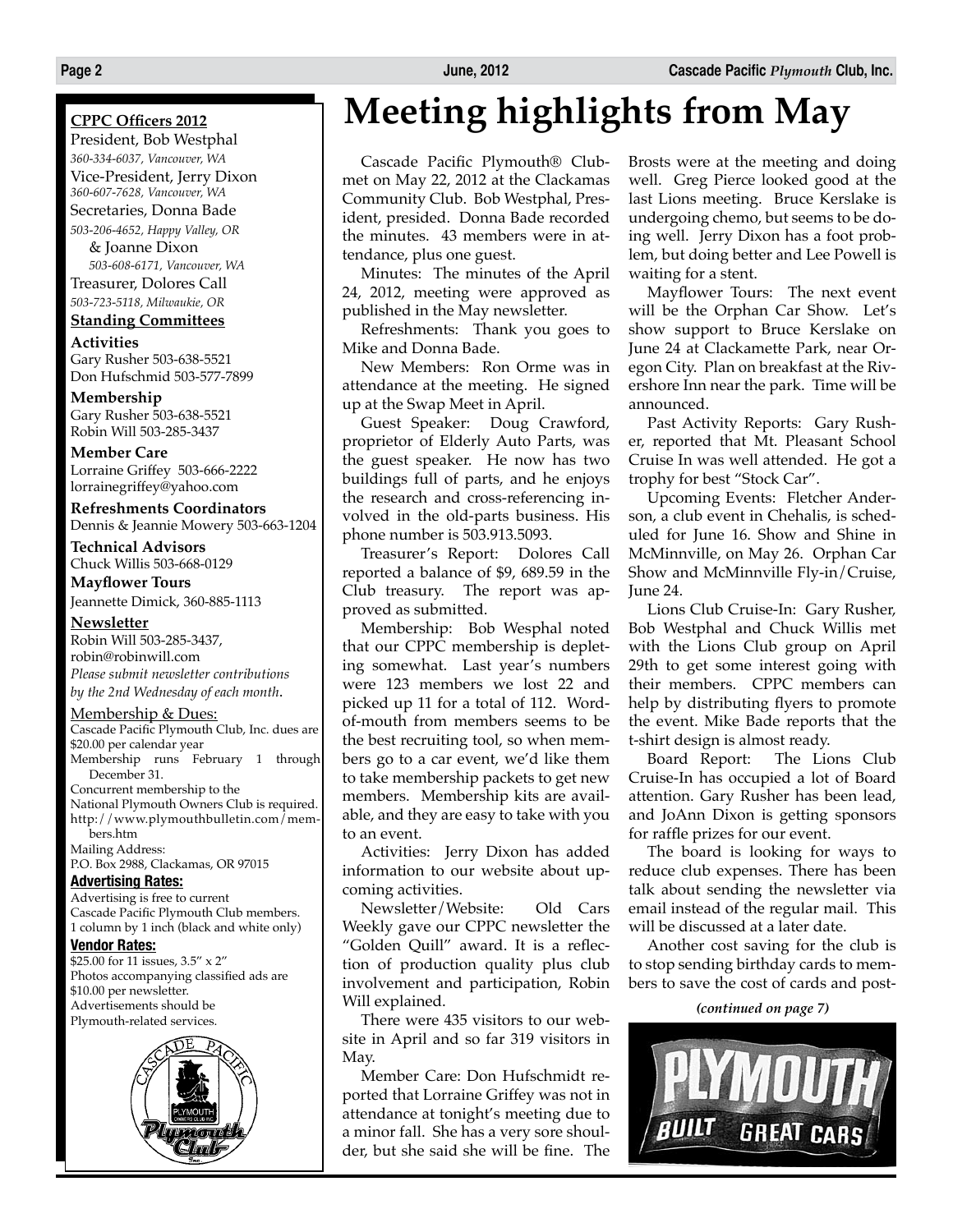### **CPPC Officers 2012**

President, Bob Westphal *360-334-6037, Vancouver, WA* Vice-President, Jerry Dixon *360-607-7628, Vancouver, WA* Secretaries, Donna Bade *503-206-4652, Happy Valley, OR*

& Joanne Dixon *503-608-6171, Vancouver, WA* Treasurer, Dolores Call *503-723-5118, Milwaukie, OR*

### **Standing Committees**

**Activities** Gary Rusher 503-638-5521 Don Hufschmid 503-577-7899

**Membership** Gary Rusher 503-638-5521 Robin Will 503-285-3437

**Member Care** Lorraine Griffey 503-666-2222 lorrainegriffey@yahoo.com

### **Refreshments Coordinators** Dennis & Jeannie Mowery 503-663-1204

**Technical Advisors**

Chuck Willis 503-668-0129

**Mayflower Tours** Jeannette Dimick, 360-885-1113

#### **Newsletter**

Robin Will 503-285-3437, robin@robinwill.com *Please submit newsletter contributions by the 2nd Wednesday of each month*.

### Membership & Dues:

Cascade Pacific Plymouth Club, Inc. dues are \$20.00 per calendar year Membership runs February 1 through December 31. Concurrent membership to the

National Plymouth Owners Club is required. http://www.plymouthbulletin.com/members.htm Mailing Address:

P.O. Box 2988, Clackamas, OR 97015

### **Advertising Rates:**

Advertising is free to current Cascade Pacific Plymouth Club members. 1 column by 1 inch (black and white only)

### **Vendor Rates:**

\$25.00 for 11 issues, 3.5" x 2" Photos accompanying classified ads are \$10.00 per newsletter. Advertisements should be Plymouth-related services.



# **Meeting highlights from May**

Cascade Pacific Plymouth® Clubmet on May 22, 2012 at the Clackamas Community Club. Bob Westphal, President, presided. Donna Bade recorded the minutes. 43 members were in attendance, plus one guest.

Minutes: The minutes of the April 24, 2012, meeting were approved as published in the May newsletter.

Refreshments: Thank you goes to Mike and Donna Bade.

New Members: Ron Orme was in attendance at the meeting. He signed up at the Swap Meet in April.

Guest Speaker: Doug Crawford, proprietor of Elderly Auto Parts, was the guest speaker. He now has two buildings full of parts, and he enjoys the research and cross-referencing involved in the old-parts business. His phone number is 503.913.5093.

Treasurer's Report: Dolores Call reported a balance of \$9, 689.59 in the Club treasury. The report was approved as submitted.

Membership: Bob Wesphal noted that our CPPC membership is depleting somewhat. Last year's numbers were 123 members we lost 22 and picked up 11 for a total of 112. Wordof-mouth from members seems to be the best recruiting tool, so when members go to a car event, we'd like them to take membership packets to get new members. Membership kits are available, and they are easy to take with you to an event.

Activities: Jerry Dixon has added information to our website about upcoming activities.

Newsletter/Website: Old Cars Weekly gave our CPPC newsletter the "Golden Quill" award. It is a reflection of production quality plus club involvement and participation, Robin Will explained.

There were 435 visitors to our website in April and so far 319 visitors in May.

Member Care: Don Hufschmidt reported that Lorraine Griffey was not in attendance at tonight's meeting due to a minor fall. She has a very sore shoulder, but she said she will be fine. The Brosts were at the meeting and doing well. Greg Pierce looked good at the last Lions meeting. Bruce Kerslake is undergoing chemo, but seems to be doing well. Jerry Dixon has a foot problem, but doing better and Lee Powell is waiting for a stent.

Mayflower Tours: The next event will be the Orphan Car Show. Let's show support to Bruce Kerslake on June 24 at Clackamette Park, near Oregon City. Plan on breakfast at the Rivershore Inn near the park. Time will be announced.

Past Activity Reports: Gary Rusher, reported that Mt. Pleasant School Cruise In was well attended. He got a trophy for best "Stock Car".

Upcoming Events: Fletcher Anderson, a club event in Chehalis, is scheduled for June 16. Show and Shine in McMinnville, on May 26. Orphan Car Show and McMinnville Fly-in/Cruise, June 24.

Lions Club Cruise-In: Gary Rusher, Bob Westphal and Chuck Willis met with the Lions Club group on April 29th to get some interest going with their members. CPPC members can help by distributing flyers to promote the event. Mike Bade reports that the t-shirt design is almost ready.

Board Report: The Lions Club Cruise-In has occupied a lot of Board attention. Gary Rusher has been lead, and JoAnn Dixon is getting sponsors for raffle prizes for our event.

The board is looking for ways to reduce club expenses. There has been talk about sending the newsletter via email instead of the regular mail. This will be discussed at a later date.

Another cost saving for the club is to stop sending birthday cards to members to save the cost of cards and post-

*(continued on page 7)*

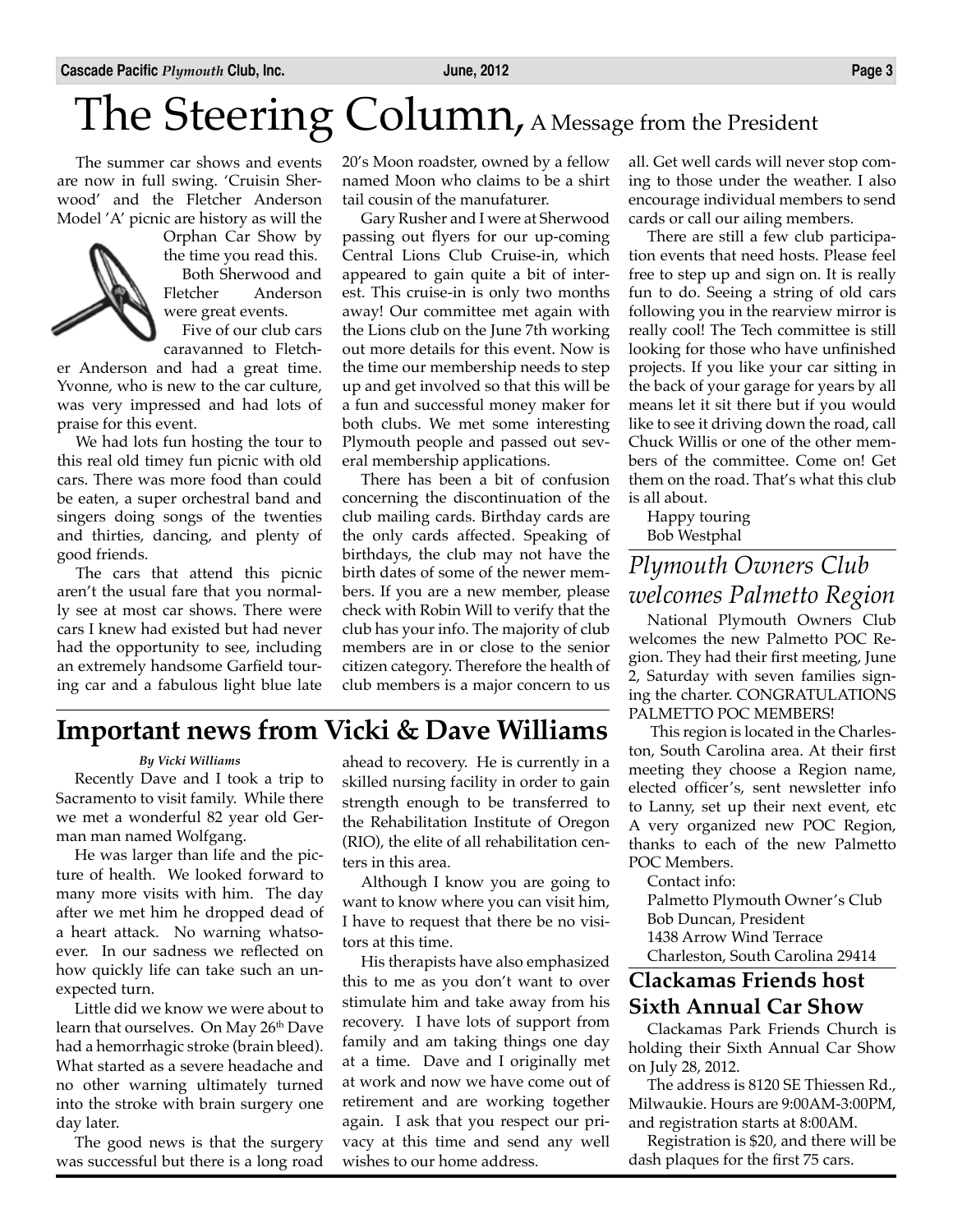# The Steering Column, A Message from the President

The summer car shows and events are now in full swing. 'Cruisin Sherwood' and the Fletcher Anderson Model 'A' picnic are history as will the



Orphan Car Show by the time you read this. Both Sherwood and Fletcher Anderson were great events.

Five of our club cars caravanned to Fletch-

er Anderson and had a great time. Yvonne, who is new to the car culture, was very impressed and had lots of praise for this event.

We had lots fun hosting the tour to this real old timey fun picnic with old cars. There was more food than could be eaten, a super orchestral band and singers doing songs of the twenties and thirties, dancing, and plenty of good friends.

The cars that attend this picnic aren't the usual fare that you normally see at most car shows. There were cars I knew had existed but had never had the opportunity to see, including an extremely handsome Garfield touring car and a fabulous light blue late

20's Moon roadster, owned by a fellow named Moon who claims to be a shirt tail cousin of the manufaturer.

Gary Rusher and I were at Sherwood passing out flyers for our up-coming Central Lions Club Cruise-in, which appeared to gain quite a bit of interest. This cruise-in is only two months away! Our committee met again with the Lions club on the June 7th working out more details for this event. Now is the time our membership needs to step up and get involved so that this will be a fun and successful money maker for both clubs. We met some interesting Plymouth people and passed out several membership applications.

There has been a bit of confusion concerning the discontinuation of the club mailing cards. Birthday cards are the only cards affected. Speaking of birthdays, the club may not have the birth dates of some of the newer members. If you are a new member, please check with Robin Will to verify that the club has your info. The majority of club members are in or close to the senior citizen category. Therefore the health of club members is a major concern to us all. Get well cards will never stop coming to those under the weather. I also encourage individual members to send cards or call our ailing members.

There are still a few club participation events that need hosts. Please feel free to step up and sign on. It is really fun to do. Seeing a string of old cars following you in the rearview mirror is really cool! The Tech committee is still looking for those who have unfinished projects. If you like your car sitting in the back of your garage for years by all means let it sit there but if you would like to see it driving down the road, call Chuck Willis or one of the other members of the committee. Come on! Get them on the road. That's what this club is all about.

Happy touring Bob Westphal

### *Plymouth Owners Club welcomes Palmetto Region*

National Plymouth Owners Club welcomes the new Palmetto POC Region. They had their first meeting, June 2, Saturday with seven families signing the charter. CONGRATULATIONS PALMETTO POC MEMBERS!

 This region is located in the Charleston, South Carolina area. At their first meeting they choose a Region name, elected officer's, sent newsletter info to Lanny, set up their next event, etc A very organized new POC Region, thanks to each of the new Palmetto POC Members.

Contact info:

Palmetto Plymouth Owner's Club Bob Duncan, President 1438 Arrow Wind Terrace

Charleston, South Carolina 29414

### **Clackamas Friends host Sixth Annual Car Show**

Clackamas Park Friends Church is holding their Sixth Annual Car Show on July 28, 2012.

The address is 8120 SE Thiessen Rd., Milwaukie. Hours are 9:00AM-3:00PM, and registration starts at 8:00AM.

Registration is \$20, and there will be dash plaques for the first 75 cars.

### **Important news from Vicki & Dave Williams**

### *By Vicki Williams*

Recently Dave and I took a trip to Sacramento to visit family. While there we met a wonderful 82 year old German man named Wolfgang.

He was larger than life and the picture of health. We looked forward to many more visits with him. The day after we met him he dropped dead of a heart attack. No warning whatsoever. In our sadness we reflected on how quickly life can take such an unexpected turn.

Little did we know we were about to learn that ourselves. On May 26th Dave had a hemorrhagic stroke (brain bleed). What started as a severe headache and no other warning ultimately turned into the stroke with brain surgery one day later.

The good news is that the surgery was successful but there is a long road

ahead to recovery. He is currently in a skilled nursing facility in order to gain strength enough to be transferred to the Rehabilitation Institute of Oregon (RIO), the elite of all rehabilitation centers in this area.

Although I know you are going to want to know where you can visit him, I have to request that there be no visitors at this time.

His therapists have also emphasized this to me as you don't want to over stimulate him and take away from his recovery. I have lots of support from family and am taking things one day at a time. Dave and I originally met at work and now we have come out of retirement and are working together again. I ask that you respect our privacy at this time and send any well wishes to our home address.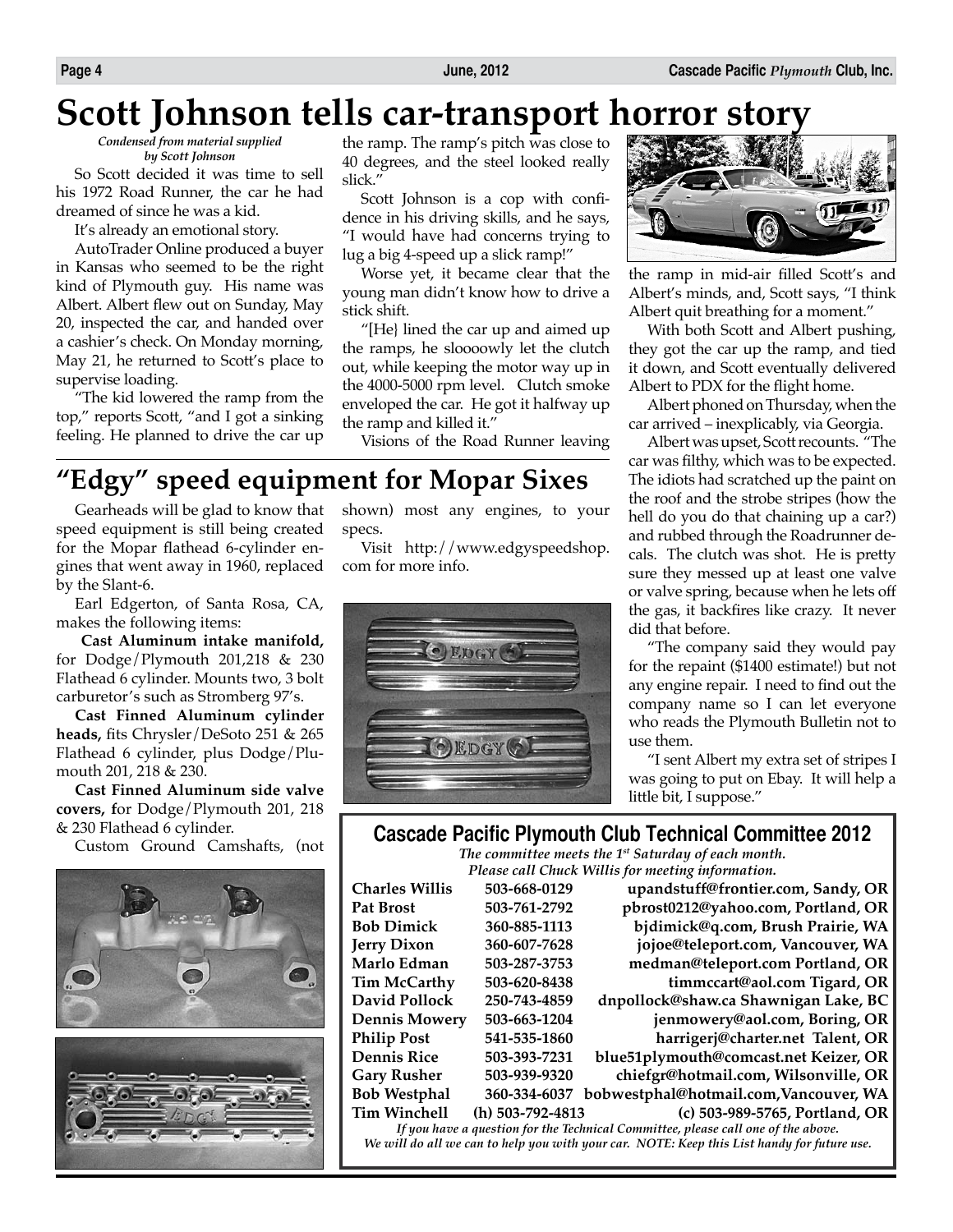# **Scott Johnson tells car-transport horror story**

*Condensed from material supplied by Scott Johnson*

So Scott decided it was time to sell his 1972 Road Runner, the car he had dreamed of since he was a kid.

It's already an emotional story.

AutoTrader Online produced a buyer in Kansas who seemed to be the right kind of Plymouth guy. His name was Albert. Albert flew out on Sunday, May 20, inspected the car, and handed over a cashier's check. On Monday morning, May 21, he returned to Scott's place to supervise loading.

"The kid lowered the ramp from the top," reports Scott, "and I got a sinking feeling. He planned to drive the car up the ramp. The ramp's pitch was close to 40 degrees, and the steel looked really slick."

Scott Johnson is a cop with confidence in his driving skills, and he says, "I would have had concerns trying to lug a big 4-speed up a slick ramp!"

Worse yet, it became clear that the young man didn't know how to drive a stick shift.

"[He} lined the car up and aimed up the ramps, he sloooowly let the clutch out, while keeping the motor way up in the 4000-5000 rpm level. Clutch smoke enveloped the car. He got it halfway up the ramp and killed it."

Visions of the Road Runner leaving

## **"Edgy" speed equipment for Mopar Sixes**

Gearheads will be glad to know that speed equipment is still being created for the Mopar flathead 6-cylinder engines that went away in 1960, replaced by the Slant-6.

Earl Edgerton, of Santa Rosa, CA, makes the following items:

**Cast Aluminum intake manifold,** for Dodge/Plymouth 201,218 & 230 Flathead 6 cylinder. Mounts two, 3 bolt carburetor's such as Stromberg 97's.

**Cast Finned Aluminum cylinder heads,** fits Chrysler/DeSoto 251 & 265 Flathead 6 cylinder, plus Dodge/Plumouth 201, 218 & 230.

**Cast Finned Aluminum side valve covers, f**or Dodge/Plymouth 201, 218 & 230 Flathead 6 cylinder.

Custom Ground Camshafts, (not



shown) most any engines, to your specs.

Visit http://www.edgyspeedshop. com for more info.





the ramp in mid-air filled Scott's and Albert's minds, and, Scott says, "I think Albert quit breathing for a moment."

With both Scott and Albert pushing, they got the car up the ramp, and tied it down, and Scott eventually delivered Albert to PDX for the flight home.

Albert phoned on Thursday, when the car arrived – inexplicably, via Georgia.

Albert was upset, Scott recounts. "The car was filthy, which was to be expected. The idiots had scratched up the paint on the roof and the strobe stripes (how the hell do you do that chaining up a car?) and rubbed through the Roadrunner decals. The clutch was shot. He is pretty sure they messed up at least one valve or valve spring, because when he lets off the gas, it backfires like crazy. It never did that before.

"The company said they would pay for the repaint (\$1400 estimate!) but not any engine repair. I need to find out the company name so I can let everyone who reads the Plymouth Bulletin not to use them.

"I sent Albert my extra set of stripes I was going to put on Ebay. It will help a little bit, I suppose."

### **Cascade Pacific Plymouth Club Technical Committee 2012**

*The committee meets the 1st Saturday of each month. Please call Chuck Willis for meeting information.*

| Charles Willis                                                                    | 503-668-0129       | upandstuff@frontier.com, Sandy, OR     |  |  |
|-----------------------------------------------------------------------------------|--------------------|----------------------------------------|--|--|
| Pat Brost                                                                         | 503-761-2792       | pbrost0212@yahoo.com, Portland, OR     |  |  |
| Bob Dimick                                                                        | 360-885-1113       | bjdimick@q.com, Brush Prairie, WA      |  |  |
| Jerry Dixon                                                                       | 360-607-7628       | jojoe@teleport.com, Vancouver, WA      |  |  |
| Marlo Edman                                                                       | 503-287-3753       | medman@teleport.com Portland, OR       |  |  |
| Tim McCarthy                                                                      | 503-620-8438       | timmccart@aol.com Tigard, OR           |  |  |
| David Pollock                                                                     | 250-743-4859       | dnpollock@shaw.ca Shawnigan Lake, BC   |  |  |
| Dennis Mowery                                                                     | 503-663-1204       | jenmowery@aol.com, Boring, OR          |  |  |
| <b>Philip Post</b>                                                                | 541-535-1860       | harrigerj@charter.net Talent, OR       |  |  |
| Dennis Rice                                                                       | 503-393-7231       | blue51plymouth@comcast.net Keizer, OR  |  |  |
| <b>Gary Rusher</b>                                                                | 503-939-9320       | chiefgr@hotmail.com, Wilsonville, OR   |  |  |
| <b>Bob Westphal</b>                                                               | 360-334-6037       | bobwestphal@hotmail.com, Vancouver, WA |  |  |
| <b>Tim Winchell</b>                                                               | $(h)$ 503-792-4813 | (c) 503-989-5765, Portland, OR         |  |  |
| If you have a question for the Technical Committee, please call one of the above. |                    |                                        |  |  |

*We will do all we can to help you with your car. NOTE: Keep this List handy for future use.*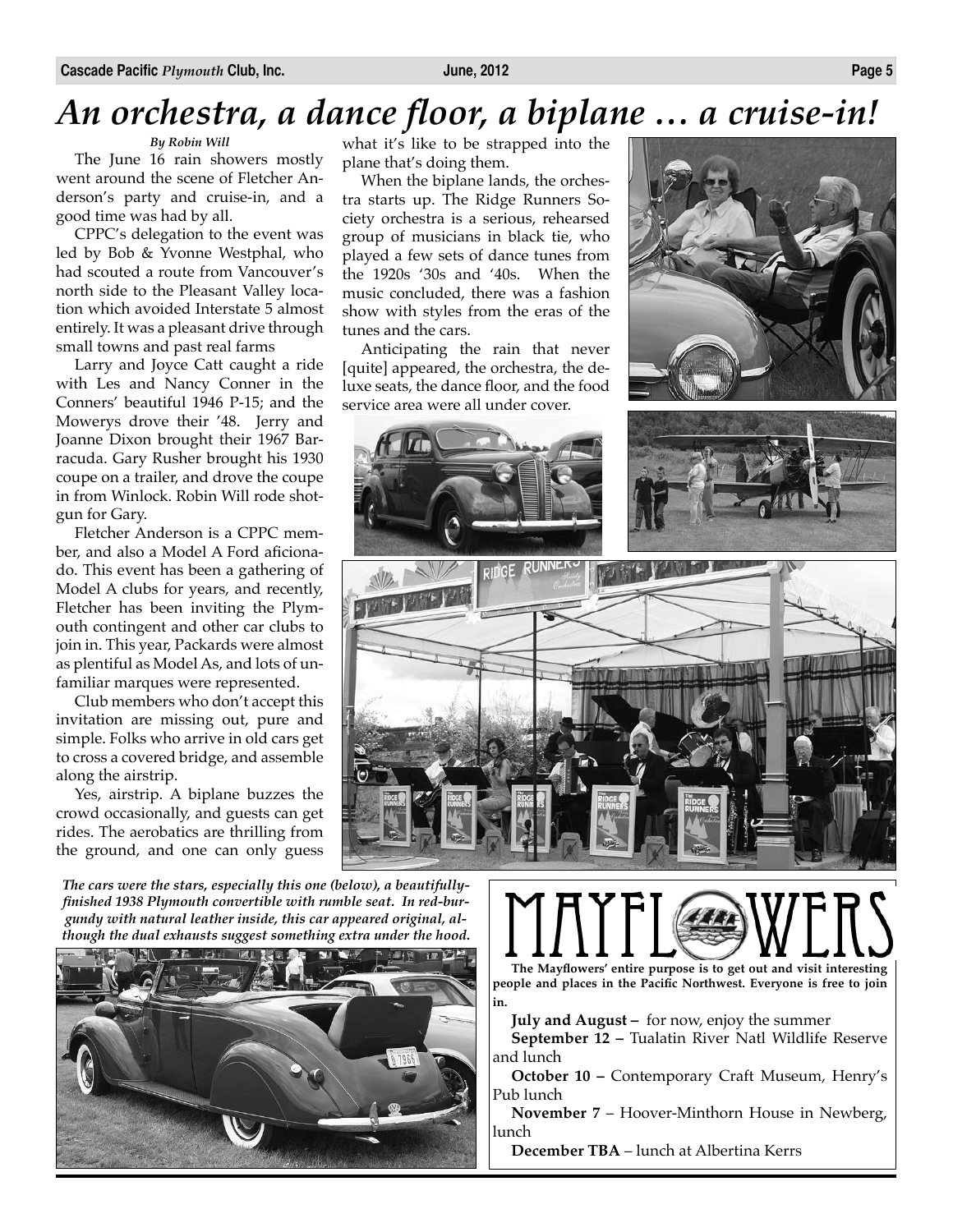# *An orchestra, a dance floor, a biplane … a cruise-in!*

### *By Robin Will*

The June 16 rain showers mostly went around the scene of Fletcher Anderson's party and cruise-in, and a good time was had by all.

CPPC's delegation to the event was led by Bob & Yvonne Westphal, who had scouted a route from Vancouver's north side to the Pleasant Valley location which avoided Interstate 5 almost entirely. It was a pleasant drive through small towns and past real farms

Larry and Joyce Catt caught a ride with Les and Nancy Conner in the Conners' beautiful 1946 P-15; and the Mowerys drove their '48. Jerry and Joanne Dixon brought their 1967 Barracuda. Gary Rusher brought his 1930 coupe on a trailer, and drove the coupe in from Winlock. Robin Will rode shotgun for Gary.

Fletcher Anderson is a CPPC member, and also a Model A Ford aficionado. This event has been a gathering of Model A clubs for years, and recently, Fletcher has been inviting the Plymouth contingent and other car clubs to join in. This year, Packards were almost as plentiful as Model As, and lots of unfamiliar marques were represented.

Club members who don't accept this invitation are missing out, pure and simple. Folks who arrive in old cars get to cross a covered bridge, and assemble along the airstrip.

Yes, airstrip. A biplane buzzes the crowd occasionally, and guests can get rides. The aerobatics are thrilling from the ground, and one can only guess

*The cars were the stars, especially this one (below), a beautifullyfinished 1938 Plymouth convertible with rumble seat. In red-burgundy with natural leather inside, this car appeared original, although the dual exhausts suggest something extra under the hood.* 



what it's like to be strapped into the plane that's doing them.

When the biplane lands, the orchestra starts up. The Ridge Runners Society orchestra is a serious, rehearsed group of musicians in black tie, who played a few sets of dance tunes from the 1920s '30s and '40s. When the music concluded, there was a fashion show with styles from the eras of the tunes and the cars.

Anticipating the rain that never [quite] appeared, the orchestra, the deluxe seats, the dance floor, and the food service area were all under cover.







**The Mayflowers' entire purpose is to get out and visit interesting people and places in the Pacific Northwest. Everyone is free to join in.** 

**July and August –** for now, enjoy the summer

**September 12 –** Tualatin River Natl Wildlife Reserve and lunch

**October 10 –** Contemporary Craft Museum, Henry's Pub lunch

**November 7** – Hoover-Minthorn House in Newberg, lunch

**December TBA** – lunch at Albertina Kerrs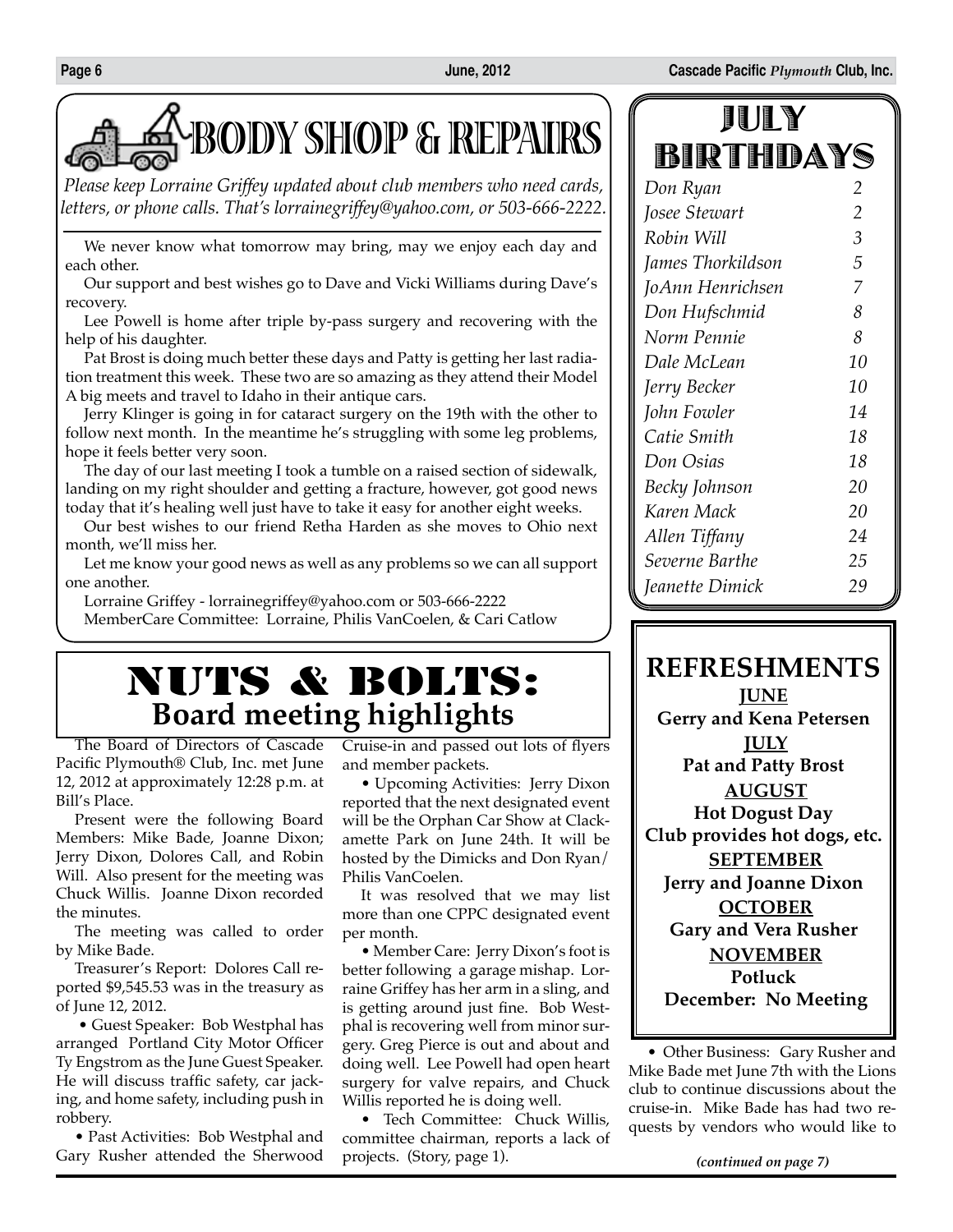

*Please keep Lorraine Griffey updated about club members who need cards, letters, or phone calls. That's lorrainegriffey@yahoo.com, or 503-666-2222.*

We never know what tomorrow may bring, may we enjoy each day and each other.

Our support and best wishes go to Dave and Vicki Williams during Dave's recovery.

Lee Powell is home after triple by-pass surgery and recovering with the help of his daughter.

Pat Brost is doing much better these days and Patty is getting her last radiation treatment this week. These two are so amazing as they attend their Model A big meets and travel to Idaho in their antique cars.

Jerry Klinger is going in for cataract surgery on the 19th with the other to follow next month. In the meantime he's struggling with some leg problems, hope it feels better very soon.

The day of our last meeting I took a tumble on a raised section of sidewalk, landing on my right shoulder and getting a fracture, however, got good news today that it's healing well just have to take it easy for another eight weeks.

Our best wishes to our friend Retha Harden as she moves to Ohio next month, we'll miss her.

Let me know your good news as well as any problems so we can all support one another.

Lorraine Griffey - lorrainegriffey@yahoo.com or 503-666-2222 MemberCare Committee: Lorraine, Philis VanCoelen, & Cari Catlow

## NUTS & BOLTS: **Board meeting highlights**

The Board of Directors of Cascade Pacific Plymouth® Club, Inc. met June 12, 2012 at approximately 12:28 p.m. at Bill's Place.

Present were the following Board Members: Mike Bade, Joanne Dixon; Jerry Dixon, Dolores Call, and Robin Will. Also present for the meeting was Chuck Willis. Joanne Dixon recorded the minutes.

The meeting was called to order by Mike Bade.

Treasurer's Report: Dolores Call reported \$9,545.53 was in the treasury as of June 12, 2012.

 • Guest Speaker: Bob Westphal has arranged Portland City Motor Officer Ty Engstrom as the June Guest Speaker. He will discuss traffic safety, car jacking, and home safety, including push in robbery.

• Past Activities: Bob Westphal and Gary Rusher attended the Sherwood

Cruise-in and passed out lots of flyers and member packets.

• Upcoming Activities: Jerry Dixon reported that the next designated event will be the Orphan Car Show at Clackamette Park on June 24th. It will be hosted by the Dimicks and Don Ryan/ Philis VanCoelen.

It was resolved that we may list more than one CPPC designated event per month.

• Member Care: Jerry Dixon's foot is better following a garage mishap. Lorraine Griffey has her arm in a sling, and is getting around just fine. Bob Westphal is recovering well from minor surgery. Greg Pierce is out and about and doing well. Lee Powell had open heart surgery for valve repairs, and Chuck Willis reported he is doing well.

• Tech Committee: Chuck Willis, committee chairman, reports a lack of projects. (Story, page 1).

| JULY      |  |
|-----------|--|
| BIRTHDAYS |  |

| Don Ryan          | 2  |
|-------------------|----|
| Josee Stewart     | 2  |
| Robin Will        | 3  |
| James Thorkildson | 5  |
| JoAnn Henrichsen  | 7  |
| Don Hufschmid     | 8  |
| Norm Pennie       | 8  |
| Dale McLean       | 10 |
| Jerry Becker      | 10 |
| John Fowler       | 14 |
| Catie Smith       | 18 |
| Don Osias         | 18 |
| Becky Johnson     | 20 |
| Karen Mack        | 20 |
| Allen Tiffany     | 24 |
| Severne Barthe    | 25 |
| Jeanette Dimick   | 29 |

## **REFRESHMENTS**

**June Gerry and Kena Petersen July Pat and Patty Brost August Hot Dogust Day Club provides hot dogs, etc. September Jerry and Joanne Dixon October Gary and Vera Rusher November Potluck December: No Meeting**

• Other Business: Gary Rusher and Mike Bade met June 7th with the Lions club to continue discussions about the cruise-in. Mike Bade has had two requests by vendors who would like to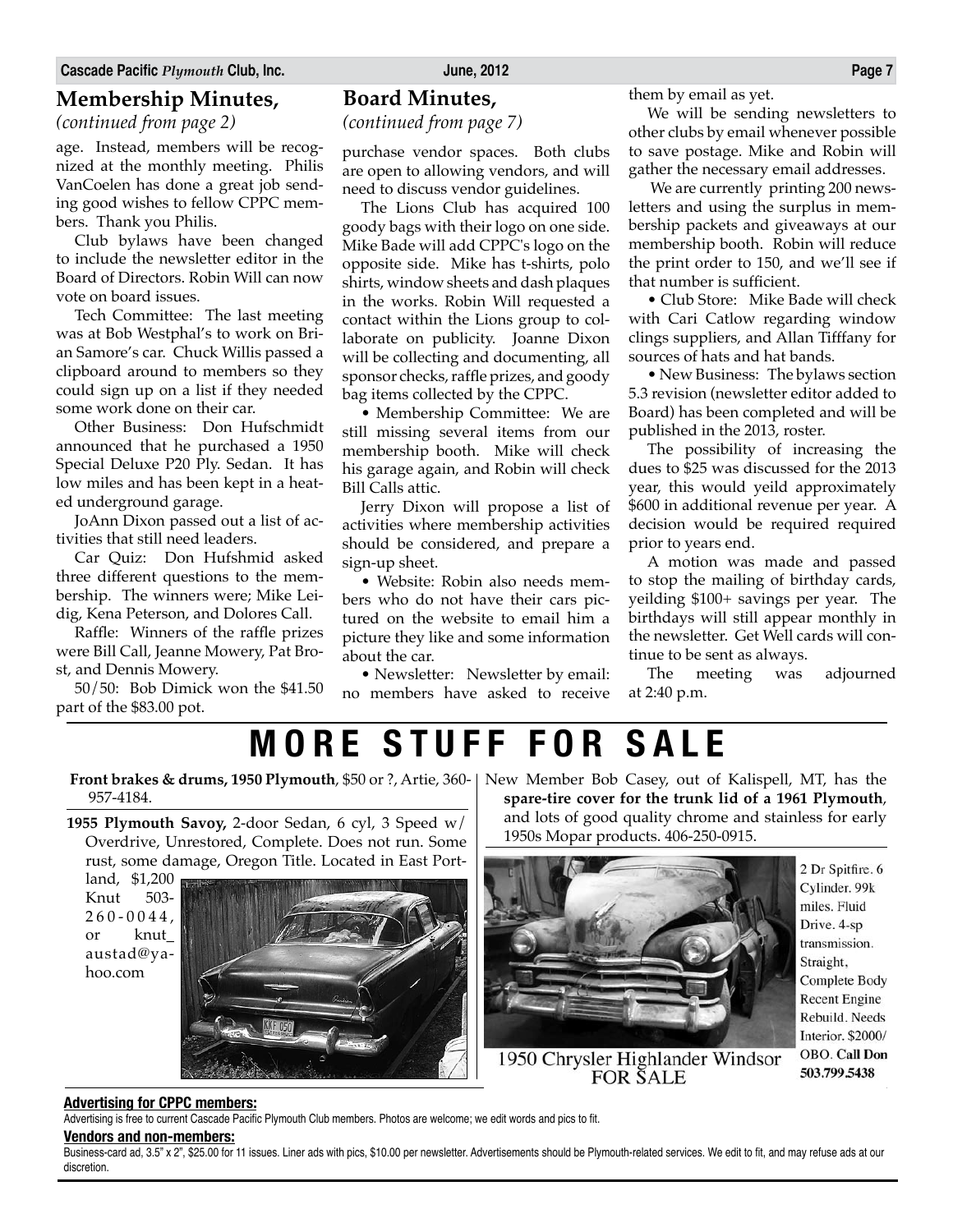### **Membership Minutes,**

*(continued from page 2)*

age. Instead, members will be recognized at the monthly meeting. Philis VanCoelen has done a great job sending good wishes to fellow CPPC members. Thank you Philis.

Club bylaws have been changed to include the newsletter editor in the Board of Directors. Robin Will can now vote on board issues.

Tech Committee: The last meeting was at Bob Westphal's to work on Brian Samore's car. Chuck Willis passed a clipboard around to members so they could sign up on a list if they needed some work done on their car.

Other Business: Don Hufschmidt announced that he purchased a 1950 Special Deluxe P20 Ply. Sedan. It has low miles and has been kept in a heated underground garage.

JoAnn Dixon passed out a list of activities that still need leaders.

Car Quiz: Don Hufshmid asked three different questions to the membership. The winners were; Mike Leidig, Kena Peterson, and Dolores Call.

Raffle: Winners of the raffle prizes were Bill Call, Jeanne Mowery, Pat Brost, and Dennis Mowery.

50/50: Bob Dimick won the \$41.50 part of the \$83.00 pot.

### **Board Minutes,**

*(continued from page 7)*

purchase vendor spaces. Both clubs are open to allowing vendors, and will need to discuss vendor guidelines.

The Lions Club has acquired 100 goody bags with their logo on one side. Mike Bade will add CPPC's logo on the opposite side. Mike has t-shirts, polo shirts, window sheets and dash plaques in the works. Robin Will requested a contact within the Lions group to collaborate on publicity. Joanne Dixon will be collecting and documenting, all sponsor checks, raffle prizes, and goody bag items collected by the CPPC.

• Membership Committee: We are still missing several items from our membership booth. Mike will check his garage again, and Robin will check Bill Calls attic.

Jerry Dixon will propose a list of activities where membership activities should be considered, and prepare a sign-up sheet.

• Website: Robin also needs members who do not have their cars pictured on the website to email him a picture they like and some information about the car.

• Newsletter: Newsletter by email: no members have asked to receive them by email as yet.

We will be sending newsletters to other clubs by email whenever possible to save postage. Mike and Robin will gather the necessary email addresses.

 We are currently printing 200 newsletters and using the surplus in membership packets and giveaways at our membership booth. Robin will reduce the print order to 150, and we'll see if that number is sufficient.

• Club Store: Mike Bade will check with Cari Catlow regarding window clings suppliers, and Allan Tifffany for sources of hats and hat bands.

• New Business: The bylaws section 5.3 revision (newsletter editor added to Board) has been completed and will be published in the 2013, roster.

The possibility of increasing the dues to \$25 was discussed for the 2013 year, this would yeild approximately \$600 in additional revenue per year. A decision would be required required prior to years end.

A motion was made and passed to stop the mailing of birthday cards, yeilding \$100+ savings per year. The birthdays will still appear monthly in the newsletter. Get Well cards will continue to be sent as always.

The meeting was adjourned at 2:40 p.m.

**MORE STUFF FOR SALE**

**Front brakes & drums, 1950 Plymouth**, \$50 or ?, Artie, 360- New Member Bob Casey, out of Kalispell, MT, has the 957-4184.

**1955 Plymouth Savoy,** 2-door Sedan, 6 cyl, 3 Speed w/ Overdrive, Unrestored, Complete. Does not run. Some rust, some damage, Oregon Title. Located in East Port-

land, \$1,200 Knut 503-  $260 - 0044$ . or knut\_ austad@yahoo.com



**spare-tire cover for the trunk lid of a 1961 Plymouth**, and lots of good quality chrome and stainless for early 1950s Mopar products. 406-250-0915.



2 Dr Spitfire. 6 Cylinder. 99k miles. Fluid Drive. 4-sp transmission. Straight, Complete Body **Recent Engine** Rebuild. Needs Interior. \$2000/ OBO. Call Don 503.799.5438

1950 Chrysler Highlander Windsor<br>FOR SALE

**Advertising for CPPC members:**

Advertising is free to current Cascade Pacific Plymouth Club members. Photos are welcome; we edit words and pics to fit.

#### **Vendors and non-members:**

Business-card ad, 3.5" x 2", \$25.00 for 11 issues. Liner ads with pics, \$10.00 per newsletter. Advertisements should be Plymouth-related services. We edit to fit, and may refuse ads at our discretion.